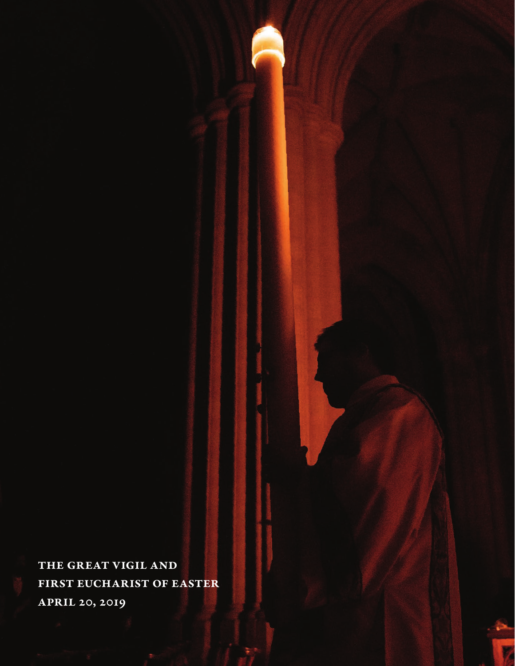the great vigil and first eucharist of easter april 20, 2019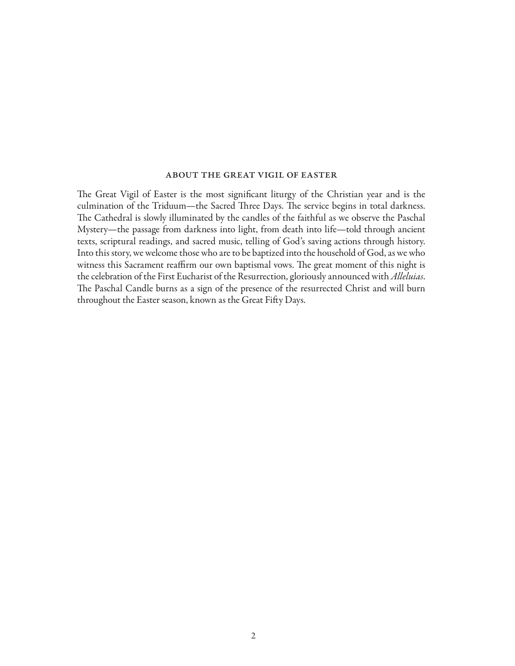#### about the great vigil of easter

The Great Vigil of Easter is the most significant liturgy of the Christian year and is the culmination of the Triduum—the Sacred Three Days. The service begins in total darkness. The Cathedral is slowly illuminated by the candles of the faithful as we observe the Paschal Mystery—the passage from darkness into light, from death into life—told through ancient texts, scriptural readings, and sacred music, telling of God's saving actions through history. Into this story, we welcome those who are to be baptized into the household of God, as we who witness this Sacrament reaffirm our own baptismal vows. The great moment of this night is the celebration of the First Eucharist of the Resurrection, gloriously announced with *Alleluias*. The Paschal Candle burns as a sign of the presence of the resurrected Christ and will burn throughout the Easter season, known as the Great Fifty Days.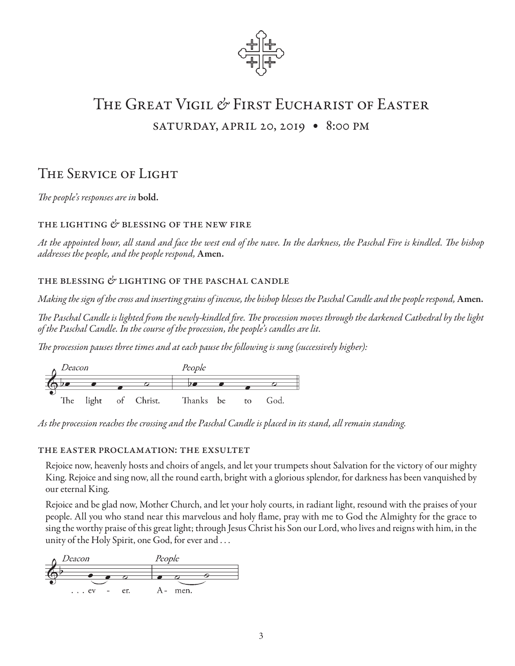

# The Great Vigil *&* First Eucharist of Easter saturday, april 20, 2019 • 8:00 pm

# The Service of Light

*The people's responses are in* bold.

## the lighting *&* blessing of the new fire

*At the appointed hour, all stand and face the west end of the nave. In the darkness, the Paschal Fire is kindled. The bishop addresses the people, and the people respond,* Amen.

# the blessing *&* lighting of the paschal candle

*Making the sign of the cross and inserting grains of incense, the bishop blesses the Paschal Candle and the people respond,* Amen.

*The Paschal Candle is lighted from the newly-kindled fire. The procession moves through the darkened Cathedral by the light of the Paschal Candle. In the course of the procession, the people's candles are lit.*

*The procession pauses three times and at each pause the following is sung (successively higher):* 



*As the procession reaches the crossing and the Paschal Candle is placed in its stand, all remain standing.* 

#### the easter proclamation: the exsultet

Rejoice now, heavenly hosts and choirs of angels, and let your trumpets shout Salvation for the victory of our mighty King. Rejoice and sing now, all the round earth, bright with a glorious splendor, for darkness has been vanquished by our eternal King.

Rejoice and be glad now, Mother Church, and let your holy courts, in radiant light, resound with the praises of your people. All you who stand near this marvelous and holy flame, pray with me to God the Almighty for the grace to sing the worthy praise of this great light; through Jesus Christ his Son our Lord, who lives and reigns with him, in the unity of the Holy Spirit, one God, for ever and . . .

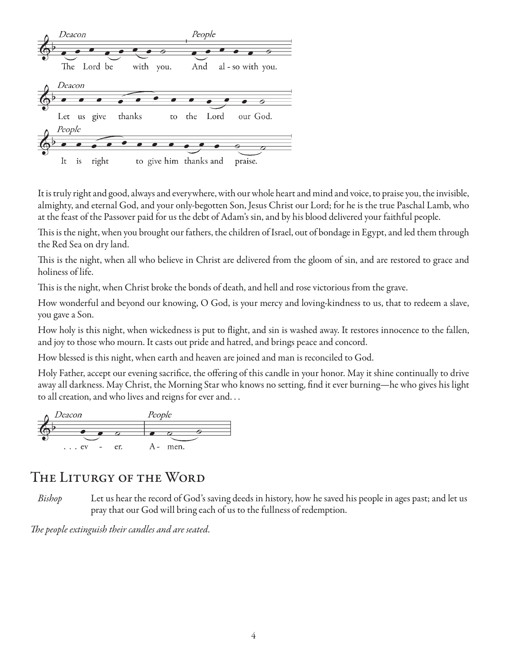

It is truly right and good, always and everywhere, with our whole heart and mind and voice, to praise you, the invisible, almighty, and eternal God, and your only-begotten Son, Jesus Christ our Lord; for he is the true Paschal Lamb, who at the feast of the Passover paid for us the debt of Adam's sin, and by his blood delivered your faithful people.

This is the night, when you brought our fathers, the children of Israel, out of bondage in Egypt, and led them through the Red Sea on dry land.

This is the night, when all who believe in Christ are delivered from the gloom of sin, and are restored to grace and holiness of life.

This is the night, when Christ broke the bonds of death, and hell and rose victorious from the grave.

How wonderful and beyond our knowing, O God, is your mercy and loving-kindness to us, that to redeem a slave, you gave a Son.

How holy is this night, when wickedness is put to flight, and sin is washed away. It restores innocence to the fallen, and joy to those who mourn. It casts out pride and hatred, and brings peace and concord.

How blessed is this night, when earth and heaven are joined and man is reconciled to God.

Holy Father, accept our evening sacrifice, the offering of this candle in your honor. May it shine continually to drive away all darkness. May Christ, the Morning Star who knows no setting, find it ever burning—he who gives his light to all creation, and who lives and reigns for ever and. . .



# The Liturgy of the Word

*Bishop* Let us hear the record of God's saving deeds in history, how he saved his people in ages past; and let us pray that our God will bring each of us to the fullness of redemption.

*The people extinguish their candles and are seated.*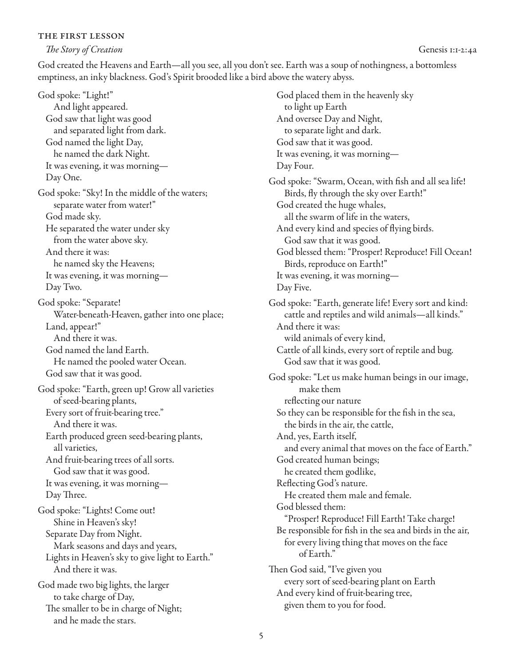#### the first lesson

#### *The Story of Creation* Genesis 1:1-2:4a

God created the Heavens and Earth—all you see, all you don't see. Earth was a soup of nothingness, a bottomless emptiness, an inky blackness. God's Spirit brooded like a bird above the watery abyss.

God spoke: "Light!" And light appeared. God saw that light was good and separated light from dark. God named the light Day, he named the dark Night. It was evening, it was morning— Day One. God spoke: "Sky! In the middle of the waters; separate water from water!" God made sky. He separated the water under sky from the water above sky. And there it was: he named sky the Heavens; It was evening, it was morning— Day Two. God spoke: "Separate! Water-beneath-Heaven, gather into one place; Land, appear!" And there it was. God named the land Earth. He named the pooled water Ocean. God saw that it was good. God spoke: "Earth, green up! Grow all varieties of seed-bearing plants, Every sort of fruit-bearing tree." And there it was. Earth produced green seed-bearing plants, all varieties, And fruit-bearing trees of all sorts. God saw that it was good. It was evening, it was morning— Day Three. God spoke: "Lights! Come out! Shine in Heaven's sky! Separate Day from Night. Mark seasons and days and years, Lights in Heaven's sky to give light to Earth." And there it was. God made two big lights, the larger to take charge of Day, The smaller to be in charge of Night; and he made the stars.

 God placed them in the heavenly sky to light up Earth And oversee Day and Night, to separate light and dark. God saw that it was good. It was evening, it was morning— Day Four. God spoke: "Swarm, Ocean, with fish and all sea life! Birds, fly through the sky over Earth!" God created the huge whales, all the swarm of life in the waters, And every kind and species of flying birds. God saw that it was good. God blessed them: "Prosper! Reproduce! Fill Ocean! Birds, reproduce on Earth!" It was evening, it was morning— Day Five. God spoke: "Earth, generate life! Every sort and kind: cattle and reptiles and wild animals—all kinds." And there it was: wild animals of every kind, Cattle of all kinds, every sort of reptile and bug. God saw that it was good. God spoke: "Let us make human beings in our image, make them reflecting our nature So they can be responsible for the fish in the sea, the birds in the air, the cattle, And, yes, Earth itself, and every animal that moves on the face of Earth." God created human beings; he created them godlike, Reflecting God's nature. He created them male and female. God blessed them: "Prosper! Reproduce! Fill Earth! Take charge! Be responsible for fish in the sea and birds in the air, for every living thing that moves on the face of Earth." Then God said, "I've given you every sort of seed-bearing plant on Earth And every kind of fruit-bearing tree, given them to you for food.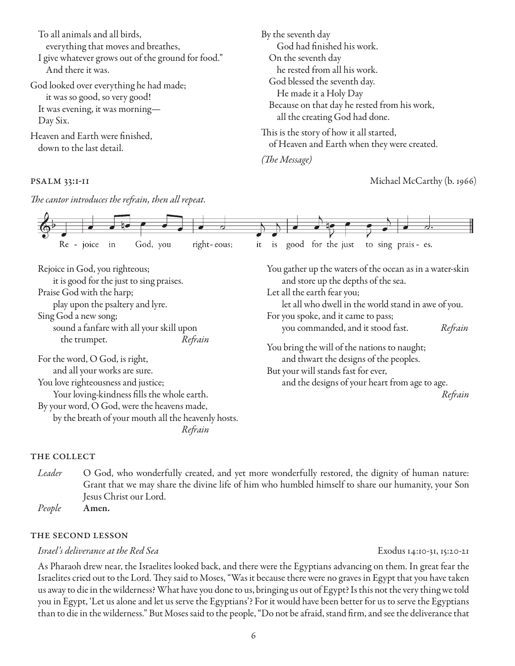To all animals and all birds, everything that moves and breathes, I give whatever grows out of the ground for food." And there it was. God looked over everything he had made; it was so good, so very good! It was evening, it was morning— Day Six. Heaven and Earth were finished,

down to the last detail.

By the seventh day God had finished his work. On the seventh day he rested from all his work. God blessed the seventh day. He made it a Holy Day Because on that day he rested from his work, all the creating God had done. This is the story of how it all started,

of Heaven and Earth when they were created.

*(The Message)*

psalm 33:1-11 Michael McCarthy (b. 1966)



#### THE COLLECT

*Leader* O God, who wonderfully created, and yet more wonderfully restored, the dignity of human nature: Grant that we may share the divine life of him who humbled himself to share our humanity, your Son Jesus Christ our Lord.

*People* Amen.

#### the second lesson

#### *Israel's deliverance at the Red Sea* Exodus 14:10-31, 15:20-21

As Pharaoh drew near, the Israelites looked back, and there were the Egyptians advancing on them. In great fear the Israelites cried out to the Lord. They said to Moses, "Was it because there were no graves in Egypt that you have taken us away to die in the wilderness? What have you done to us, bringing us out of Egypt? Is this not the very thing we told you in Egypt, 'Let us alone and let us serve the Egyptians'? For it would have been better for us to serve the Egyptians than to die in the wilderness." But Moses said to the people, "Do not be afraid, stand firm, and see the deliverance that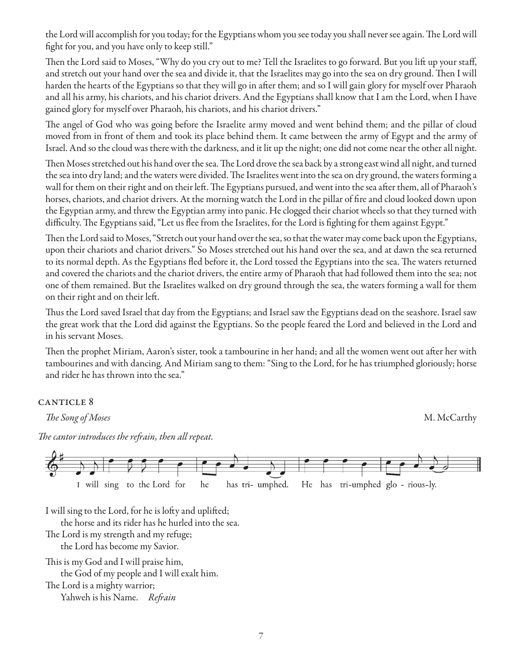the Lord will accomplish for you today; for the Egyptians whom you see today you shall never see again. The Lord will fight for you, and you have only to keep still."

Then the Lord said to Moses, "Why do you cry out to me? Tell the Israelites to go forward. But you lift up your staff, and stretch out your hand over the sea and divide it, that the Israelites may go into the sea on dry ground. Then I will harden the hearts of the Egyptians so that they will go in after them; and so I will gain glory for myself over Pharaoh and all his army, his chariots, and his chariot drivers. And the Egyptians shall know that I am the Lord, when I have gained glory for myself over Pharaoh, his chariots, and his chariot drivers."

The angel of God who was going before the Israelite army moved and went behind them; and the pillar of cloud moved from in front of them and took its place behind them. It came between the army of Egypt and the army of Israel. And so the cloud was there with the darkness, and it lit up the night; one did not come near the other all night.

Then Moses stretched out his hand over the sea. The Lord drove the sea back by a strong east wind all night, and turned the sea into dry land; and the waters were divided. The Israelites went into the sea on dry ground, the waters forming a wall for them on their right and on their left. The Egyptians pursued, and went into the sea after them, all of Pharaoh's horses, chariots, and chariot drivers. At the morning watch the Lord in the pillar of fire and cloud looked down upon the Egyptian army, and threw the Egyptian army into panic. He clogged their chariot wheels so that they turned with difficulty. The Egyptians said, "Let us flee from the Israelites, for the Lord is fighting for them against Egypt."

Then the Lord said to Moses, "Stretch out your hand over the sea, so that the water may come back upon the Egyptians, upon their chariots and chariot drivers." So Moses stretched out his hand over the sea, and at dawn the sea returned to its normal depth. As the Egyptians fled before it, the Lord tossed the Egyptians into the sea. The waters returned and covered the chariots and the chariot drivers, the entire army of Pharaoh that had followed them into the sea; not one of them remained. But the Israelites walked on dry ground through the sea, the waters forming a wall for them on their right and on their left.

Thus the Lord saved Israel that day from the Egyptians; and Israel saw the Egyptians dead on the seashore. Israel saw the great work that the Lord did against the Egyptians. So the people feared the Lord and believed in the Lord and in his servant Moses.

Then the prophet Miriam, Aaron's sister, took a tambourine in her hand; and all the women went out after her with tambourines and with dancing. And Miriam sang to them: "Sing to the Lord, for he has triumphed gloriously; horse and rider he has thrown into the sea."

# canticle 8

*The Song of Moses* M. McCarthy

*The cantor introduces the refrain, then all repeat.*



I will sing to the Lord, for he is lofty and uplifted;

the horse and its rider has he hurled into the sea.

The Lord is my strength and my refuge; the Lord has become my Savior.

This is my God and I will praise him,

the God of my people and I will exalt him.

The Lord is a mighty warrior;

Yahweh is his Name. *Refrain*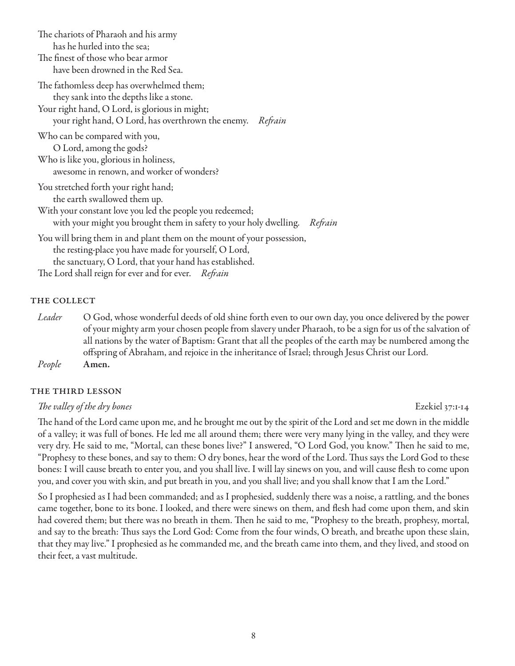|            | has he hurled into the sea;<br>The finest of those who bear armor<br>have been drowned in the Red Sea.                                                                                                                                           |
|------------|--------------------------------------------------------------------------------------------------------------------------------------------------------------------------------------------------------------------------------------------------|
|            | The fathomless deep has overwhelmed them;<br>they sank into the depths like a stone.<br>Your right hand, O Lord, is glorious in might;<br>your right hand, O Lord, has overthrown the enemy.<br>Refrain                                          |
|            | Who can be compared with you,<br>O Lord, among the gods?<br>Who is like you, glorious in holiness,<br>awesome in renown, and worker of wonders?                                                                                                  |
|            | You stretched forth your right hand;<br>the earth swallowed them up.<br>With your constant love you led the people you redeemed;<br>with your might you brought them in safety to your holy dwelling.<br>Refrain                                 |
|            | You will bring them in and plant them on the mount of your possession,<br>the resting-place you have made for yourself, O Lord,<br>the sanctuary, O Lord, that your hand has established.<br>The Lord shall reign for ever and for ever. Refrain |
| HE COLLECT |                                                                                                                                                                                                                                                  |
| Leader     | O God, whose wonderful deeds of old shine forth even to our own d<br>of your mighty arm your chosen people from slavery under Pharaoh,                                                                                                           |

*Leader* O God, whose wonderful deeds of old shine forth even to our own day, you once delivered by the power oh, to be a sign for us of the salvation of all nations by the water of Baptism: Grant that all the peoples of the earth may be numbered among the offspring of Abraham, and rejoice in the inheritance of Israel; through Jesus Christ our Lord. *People* Amen.

#### the third lesson

THE

#### *The valley of the dry bones* Ezekiel 37:1-14

The chariots of Pharaoh and his army

The hand of the Lord came upon me, and he brought me out by the spirit of the Lord and set me down in the middle of a valley; it was full of bones. He led me all around them; there were very many lying in the valley, and they were very dry. He said to me, "Mortal, can these bones live?" I answered, "O Lord God, you know." Then he said to me, "Prophesy to these bones, and say to them: O dry bones, hear the word of the Lord. Thus says the Lord God to these bones: I will cause breath to enter you, and you shall live. I will lay sinews on you, and will cause flesh to come upon you, and cover you with skin, and put breath in you, and you shall live; and you shall know that I am the Lord."

So I prophesied as I had been commanded; and as I prophesied, suddenly there was a noise, a rattling, and the bones came together, bone to its bone. I looked, and there were sinews on them, and flesh had come upon them, and skin had covered them; but there was no breath in them. Then he said to me, "Prophesy to the breath, prophesy, mortal, and say to the breath: Thus says the Lord God: Come from the four winds, O breath, and breathe upon these slain, that they may live." I prophesied as he commanded me, and the breath came into them, and they lived, and stood on their feet, a vast multitude.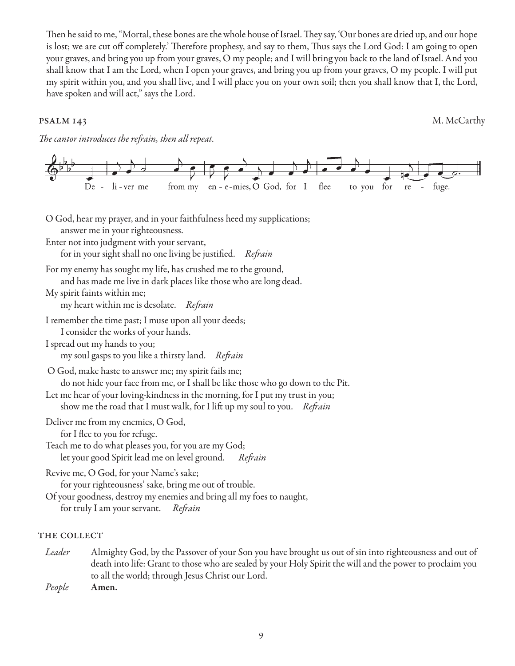Then he said to me, "Mortal, these bones are the whole house of Israel. They say, 'Our bones are dried up, and our hope is lost; we are cut off completely.' Therefore prophesy, and say to them, Thus says the Lord God: I am going to open your graves, and bring you up from your graves, O my people; and I will bring you back to the land of Israel. And you shall know that I am the Lord, when I open your graves, and bring you up from your graves, O my people. I will put my spirit within you, and you shall live, and I will place you on your own soil; then you shall know that I, the Lord, have spoken and will act," says the Lord.

# psalm 143 M. McCarthy

*The cantor introduces the refrain, then all repeat.*



#### THE COLLECT

*Leader* Almighty God, by the Passover of your Son you have brought us out of sin into righteousness and out of death into life: Grant to those who are sealed by your Holy Spirit the will and the power to proclaim you to all the world; through Jesus Christ our Lord.

*People* Amen.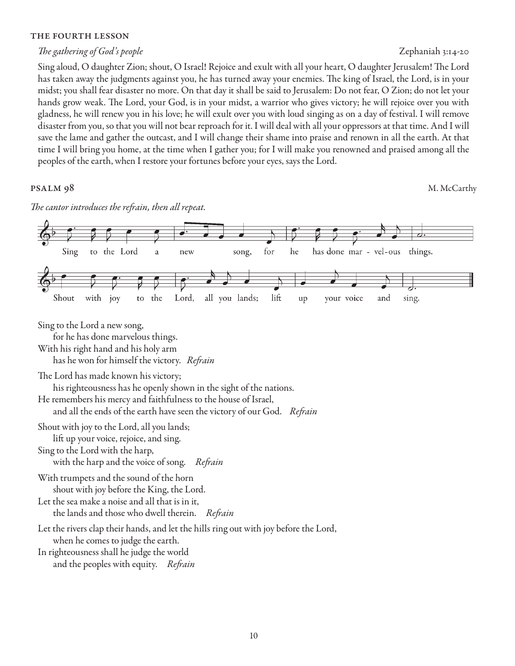#### the fourth lesson

#### *The gathering of God's people* Zephaniah 3:14-20

Sing aloud, O daughter Zion; shout, O Israel! Rejoice and exult with all your heart, O daughter Jerusalem! The Lord has taken away the judgments against you, he has turned away your enemies. The king of Israel, the Lord, is in your midst; you shall fear disaster no more. On that day it shall be said to Jerusalem: Do not fear, O Zion; do not let your hands grow weak. The Lord, your God, is in your midst, a warrior who gives victory; he will rejoice over you with gladness, he will renew you in his love; he will exult over you with loud singing as on a day of festival. I will remove disaster from you, so that you will not bear reproach for it. I will deal with all your oppressors at that time. And I will save the lame and gather the outcast, and I will change their shame into praise and renown in all the earth. At that time I will bring you home, at the time when I gather you; for I will make you renowned and praised among all the peoples of the earth, when I restore your fortunes before your eyes, says the Lord.

psalm 98 M. McCarthy

*The cantor introduces the refrain, then all repeat.*

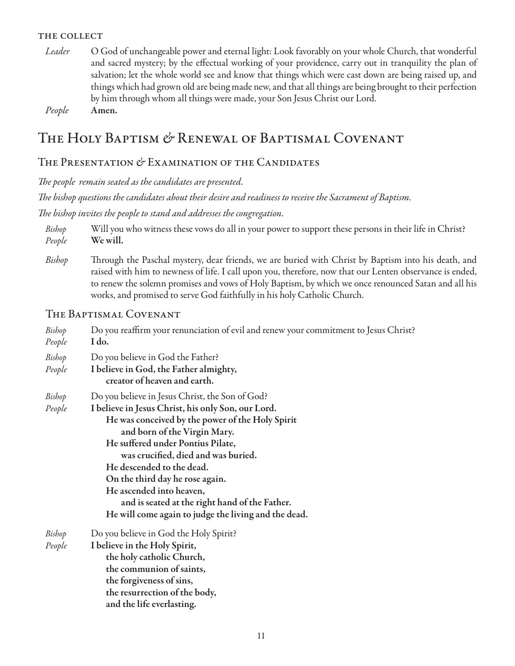#### THE COLLECT

Leader O God of unchangeable power and eternal light: Look favorably on your whole Church, that wonderful and sacred mystery; by the effectual working of your providence, carry out in tranquility the plan of salvation; let the whole world see and know that things which were cast down are being raised up, and things which had grown old are being made new, and that all things are being brought to their perfection by him through whom all things were made, your Son Jesus Christ our Lord.

*People* Amen.

# THE HOLY BAPTISM & RENEWAL OF BAPTISMAL COVENANT

### The Presentation *&* Examination of the Candidates

*The people remain seated as the candidates are presented.* 

*The bishop questions the candidates about their desire and readiness to receive the Sacrament of Baptism.* 

*The bishop invites the people to stand and addresses the congregation.*

- *Bishop* Will you who witness these vows do all in your power to support these persons in their life in Christ? *People* We will.
- *Bishop* Through the Paschal mystery, dear friends, we are buried with Christ by Baptism into his death, and raised with him to newness of life. I call upon you, therefore, now that our Lenten observance is ended, to renew the solemn promises and vows of Holy Baptism, by which we once renounced Satan and all his works, and promised to serve God faithfully in his holy Catholic Church.

## The Baptismal Covenant

| Bishop | Do you reaffirm your renunciation of evil and renew your commitment to Jesus Christ? |
|--------|--------------------------------------------------------------------------------------|
| People | I do.                                                                                |
| Bishop | Do you believe in God the Father?                                                    |
| People | I believe in God, the Father almighty,<br>creator of heaven and earth.               |
| Bishop | Do you believe in Jesus Christ, the Son of God?                                      |
| People | I believe in Jesus Christ, his only Son, our Lord.                                   |
|        | He was conceived by the power of the Holy Spirit                                     |
|        | and born of the Virgin Mary.                                                         |
|        | He suffered under Pontius Pilate,                                                    |
|        | was crucified, died and was buried.                                                  |
|        | He descended to the dead.                                                            |
|        | On the third day he rose again.                                                      |
|        | He ascended into heaven,                                                             |
|        | and is seated at the right hand of the Father.                                       |
|        | He will come again to judge the living and the dead.                                 |
| Bishop | Do you believe in God the Holy Spirit?                                               |
| People | I believe in the Holy Spirit,                                                        |
|        | the holy catholic Church,                                                            |
|        | the communion of saints,                                                             |
|        | the forgiveness of sins,                                                             |
|        | the resurrection of the body,                                                        |
|        | and the life everlasting.                                                            |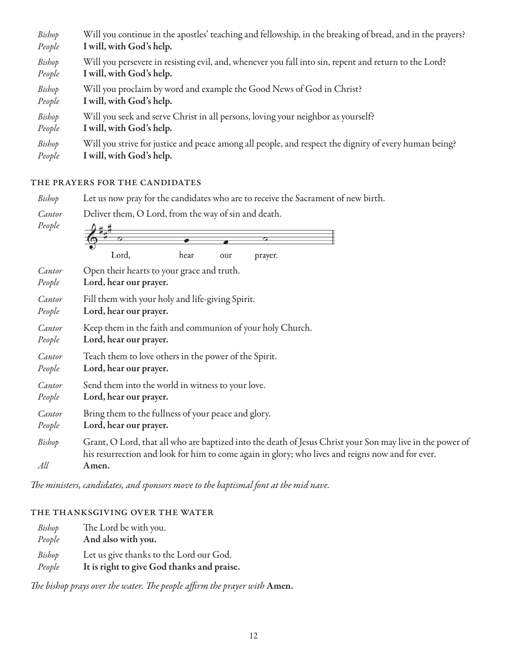| Bishop | Will you continue in the apostles' teaching and fellowship, in the breaking of bread, and in the prayers? |
|--------|-----------------------------------------------------------------------------------------------------------|
| People | I will, with God's help.                                                                                  |
| Bishop | Will you persevere in resisting evil, and, whenever you fall into sin, repent and return to the Lord?     |
| People | I will, with God's help.                                                                                  |
| Bishop | Will you proclaim by word and example the Good News of God in Christ?                                     |
| People | I will, with God's help.                                                                                  |
| Bishop | Will you seek and serve Christ in all persons, loving your neighbor as yourself?                          |
| People | I will, with God's help.                                                                                  |
| Bishop | Will you strive for justice and peace among all people, and respect the dignity of every human being?     |
| People | I will, with God's help.                                                                                  |

#### the prayers for the candidates

| Bishop           | Let us now pray for the candidates who are to receive the Sacrament of new birth.                                                                                                                                      |  |
|------------------|------------------------------------------------------------------------------------------------------------------------------------------------------------------------------------------------------------------------|--|
| Cantor<br>People | Deliver them, O Lord, from the way of sin and death.                                                                                                                                                                   |  |
|                  | $\sigma$<br>Lord,<br>hear<br>prayer.<br>our                                                                                                                                                                            |  |
| Cantor           | Open their hearts to your grace and truth.                                                                                                                                                                             |  |
| People           | Lord, hear our prayer.                                                                                                                                                                                                 |  |
| Cantor           | Fill them with your holy and life-giving Spirit.                                                                                                                                                                       |  |
| People           | Lord, hear our prayer.                                                                                                                                                                                                 |  |
| Cantor           | Keep them in the faith and communion of your holy Church.                                                                                                                                                              |  |
| People           | Lord, hear our prayer.                                                                                                                                                                                                 |  |
| Cantor           | Teach them to love others in the power of the Spirit.                                                                                                                                                                  |  |
| People           | Lord, hear our prayer.                                                                                                                                                                                                 |  |
| Cantor           | Send them into the world in witness to your love.                                                                                                                                                                      |  |
| People           | Lord, hear our prayer.                                                                                                                                                                                                 |  |
| Cantor           | Bring them to the fullness of your peace and glory.                                                                                                                                                                    |  |
| People           | Lord, hear our prayer.                                                                                                                                                                                                 |  |
| Bishop<br>All    | Grant, O Lord, that all who are baptized into the death of Jesus Christ your Son may live in the power of<br>his resurrection and look for him to come again in glory; who lives and reigns now and for ever.<br>Amen. |  |

*The ministers, candidates, and sponsors move to the baptismal font at the mid nave.*

## the thanksgiving over the water

| Bishop | The Lord be with you.                      |
|--------|--------------------------------------------|
| People | And also with you.                         |
| Bishop | Let us give thanks to the Lord our God.    |
| People | It is right to give God thanks and praise. |

*The bishop prays over the water. The people affirm the prayer with* Amen.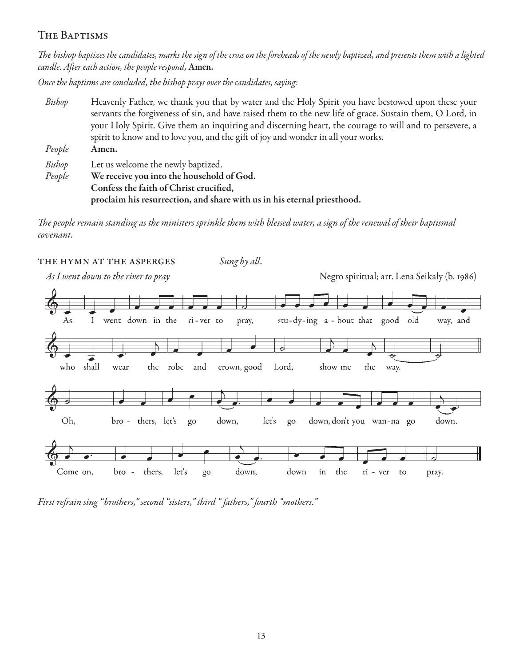# The Baptisms

*The bishop baptizes the candidates, marks the sign of the cross on the foreheads of the newly baptized, and presents them with a lighted candle. After each action, the people respond,* Amen.

*Once the baptisms are concluded, the bishop prays over the candidates, saying:* 

*Bishop* Heavenly Father, we thank you that by water and the Holy Spirit you have bestowed upon these your servants the forgiveness of sin, and have raised them to the new life of grace. Sustain them, O Lord, in your Holy Spirit. Give them an inquiring and discerning heart, the courage to will and to persevere, a spirit to know and to love you, and the gift of joy and wonder in all your works. *People* Amen. *Bishop* Let us welcome the newly baptized. *People* We receive you into the household of God. Confess the faith of Christ crucified, proclaim his resurrection, and share with us in his eternal priesthood.

*The people remain standing as the ministers sprinkle them with blessed water, a sign of the renewal of their baptismal covenant.* 



*First refrain sing " brothers," second "sisters," third " fathers," fourth "mothers."*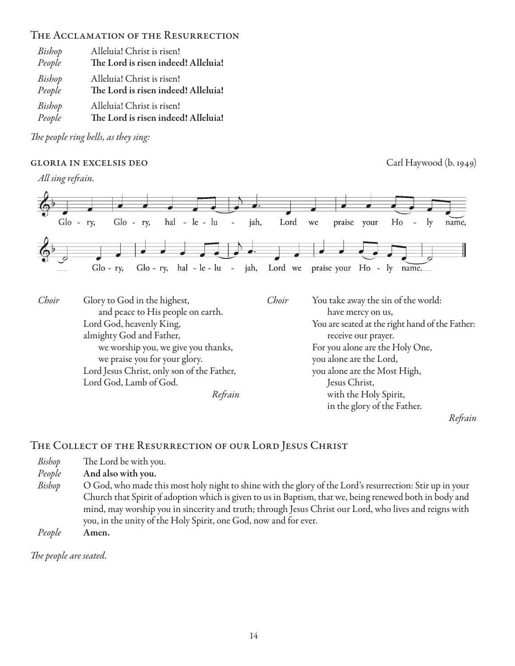## The Acclamation of the Resurrection

| Bishop | Alleluia! Christ is risen!          |
|--------|-------------------------------------|
| People | The Lord is risen indeed! Alleluia! |
| Bishop | Alleluia! Christ is risen!          |
| People | The Lord is risen indeed! Alleluia! |
| Bishop | Alleluia! Christ is risen!          |
| People | The Lord is risen indeed! Alleluia! |

*The people ring bells, as they sing:*

# GLORIA IN EXCELSIS DEO Carl Haywood (b. 1949)

*All sing refrain.*



and peace to His people on earth. Lord God, heavenly King, almighty God and Father, we worship you, we give you thanks, we praise you for your glory. Lord Jesus Christ, only son of the Father, Lord God, Lamb of God.  *Refrain* have mercy on us, You are seated at the right hand of the Father: receive our prayer. For you alone are the Holy One, you alone are the Lord, you alone are the Most High, Jesus Christ, with the Holy Spirit,

*Refrain*

in the glory of the Father.

# The Collect of the Resurrection of our Lord Jesus Christ

| Bishop | The Lord be with you.                                                                                    |
|--------|----------------------------------------------------------------------------------------------------------|
| People | And also with you.                                                                                       |
| Bishop | O God, who made this most holy night to shine with the glory of the Lord's resurrection: Stir up in your |
|        | Church that Spirit of adoption which is given to us in Baptism, that we, being renewed both in body and  |
|        | mind, may worship you in sincerity and truth; through Jesus Christ our Lord, who lives and reigns with   |
|        | you, in the unity of the Holy Spirit, one God, now and for ever.                                         |
|        |                                                                                                          |

*People* Amen.

*The people are seated.*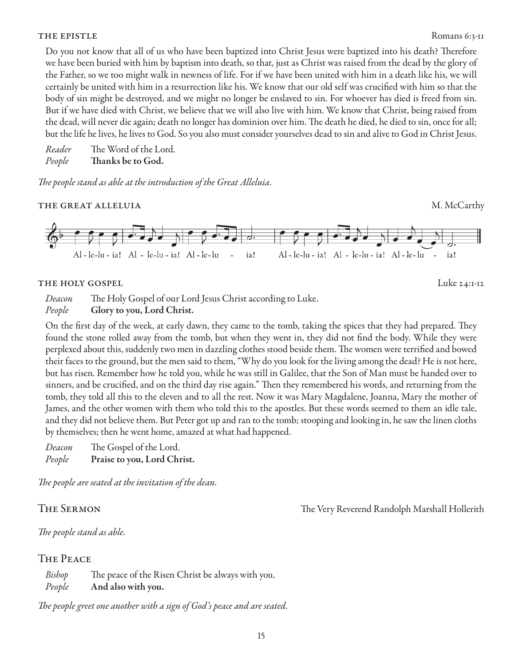# THE EPISTLE Romans 6:3-11

Do you not know that all of us who have been baptized into Christ Jesus were baptized into his death? Therefore we have been buried with him by baptism into death, so that, just as Christ was raised from the dead by the glory of the Father, so we too might walk in newness of life. For if we have been united with him in a death like his, we will certainly be united with him in a resurrection like his. We know that our old self was crucified with him so that the body of sin might be destroyed, and we might no longer be enslaved to sin. For whoever has died is freed from sin. But if we have died with Christ, we believe that we will also live with him. We know that Christ, being raised from the dead, will never die again; death no longer has dominion over him. The death he died, he died to sin, once for all; but the life he lives, he lives to God. So you also must consider yourselves dead to sin and alive to God in Christ Jesus.

*Reader* The Word of the Lord. *People* Thanks be to God.

*The people stand as able at the introduction of the Great Alleluia.* 

#### THE GREAT ALLELUIA M. McCarthy



#### THE HOLY GOSPEL Luke 24:1-12

*Deacon* The Holy Gospel of our Lord Jesus Christ according to Luke. *People* Glory to you, Lord Christ.

On the first day of the week, at early dawn, they came to the tomb, taking the spices that they had prepared. They found the stone rolled away from the tomb, but when they went in, they did not find the body. While they were perplexed about this, suddenly two men in dazzling clothes stood beside them. The women were terrified and bowed their faces to the ground, but the men said to them, "Why do you look for the living among the dead? He is not here, but has risen. Remember how he told you, while he was still in Galilee, that the Son of Man must be handed over to sinners, and be crucified, and on the third day rise again." Then they remembered his words, and returning from the tomb, they told all this to the eleven and to all the rest. Now it was Mary Magdalene, Joanna, Mary the mother of James, and the other women with them who told this to the apostles. But these words seemed to them an idle tale, and they did not believe them. But Peter got up and ran to the tomb; stooping and looking in, he saw the linen cloths by themselves; then he went home, amazed at what had happened.

| Deacon | The Gospel of the Lord.     |
|--------|-----------------------------|
| People | Praise to you, Lord Christ. |

*The people are seated at the invitation of the dean.*

The SermonThe Very Reverend Randolph Marshall Hollerith

*The people stand as able.*

#### The Peace

*Bishop* The peace of the Risen Christ be always with you. *People* And also with you.

*The people greet one another with a sign of God's peace and are seated.*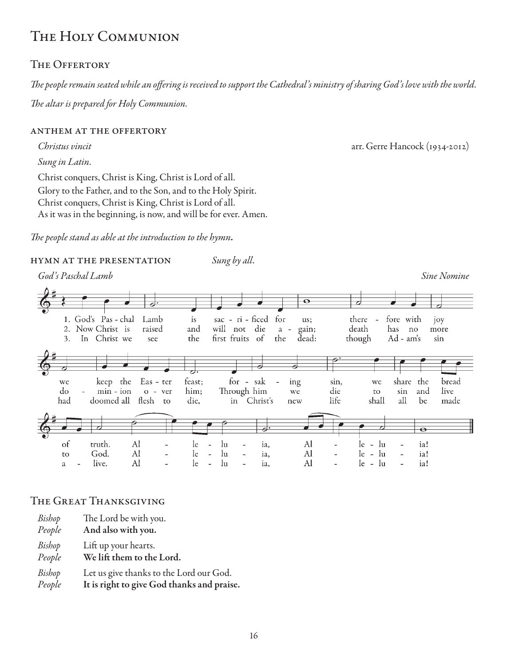# The Holy Communion

# The Offertory

*The people remain seated while an offering is received to support the Cathedral's ministry of sharing God's love with the world. The altar is prepared for Holy Communion.* 

#### anthem at the offertory

*Christus vincit* arr. Gerre Hancock (1934-2012) *Sung in Latin.* Christ conquers, Christ is King, Christ is Lord of all. Glory to the Father, and to the Son, and to the Holy Spirit. Christ conquers, Christ is King, Christ is Lord of all. As it was in the beginning, is now, and will be for ever. Amen.

*The people stand as able at the introduction to the hymn.*

hymn at the presentation *Sung by all*.

*God's Paschal Lamb Sine Nomine*

 $\overline{\mathbf{o}}$ d 1. God's Pas - chal Lamb  $is$ sac - ri - ficed for there fore with us;  $\overline{a}$ joy 2. Now Christ is raised and will not die death has  $no$ more  $a$ gain; In Christ we  $3<sub>1</sub>$ see the first fruits of the dead: though Ad - am's sin  $\overline{\overline{z}}$  $\overline{\phantom{a}}$ keep the Eas - ter feast; for - sak sin, share the bread we ing we  $d\sigma$ min - ion  $0$ ver him: Through him die and live we  $\mathsf{to}$ sin had doomed all flesh die, Christ's life shall all be to in new made  $\overline{\phantom{a}}$  $\overline{\bullet}$  $\overline{Al}$ le  $\ln$  $le - lu$ of truth. ia.  $\mathbf{A}$  $\frac{1}{2}$ ia!  $\overline{a}$  $\overline{a}$ God. Al le  $\ln$  $\mathbf{A}$ l le - lu ia!  $\mathsf{to}$ ia,  $\overline{a}$  $\overline{a}$  $\overline{a}$  $\overline{a}$ live. Al le  $\ln$ Al  $le - lu$  $\overline{a}$  $\overline{a}$ ia,  $\overline{a}$ ia! a  $\overline{a}$ 

# The Great Thanksgiving

| Bishop           | The Lord be with you.                             |
|------------------|---------------------------------------------------|
| People           | And also with you.                                |
| Bishop<br>People | Lift up your hearts.<br>We lift them to the Lord. |
| Bishop           | Let us give thanks to the Lord our God.           |
| People           | It is right to give God thanks and praise.        |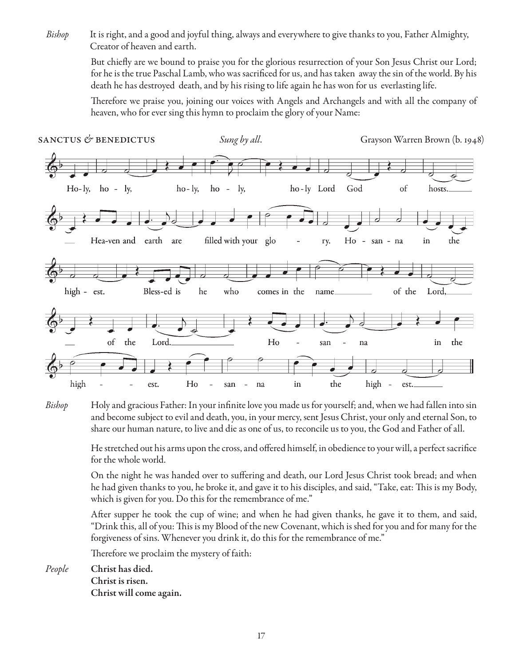*Bishop* It is right, and a good and joyful thing, always and everywhere to give thanks to you, Father Almighty, Creator of heaven and earth.

> But chiefly are we bound to praise you for the glorious resurrection of your Son Jesus Christ our Lord; for he is the true Paschal Lamb, who was sacrificed for us, and has taken away the sin of the world. By his death he has destroyed death, and by his rising to life again he has won for us everlasting life.

> Therefore we praise you, joining our voices with Angels and Archangels and with all the company of heaven, who for ever sing this hymn to proclaim the glory of your Name:



*Bishop* Holy and gracious Father: In your infinite love you made us for yourself; and, when we had fallen into sin and become subject to evil and death, you, in your mercy, sent Jesus Christ, your only and eternal Son, to share our human nature, to live and die as one of us, to reconcile us to you, the God and Father of all.

> He stretched out his arms upon the cross, and offered himself, in obedience to your will, a perfect sacrifice for the whole world.

> On the night he was handed over to suffering and death, our Lord Jesus Christ took bread; and when he had given thanks to you, he broke it, and gave it to his disciples, and said, "Take, eat: This is my Body, which is given for you. Do this for the remembrance of me."

> After supper he took the cup of wine; and when he had given thanks, he gave it to them, and said, "Drink this, all of you: This is my Blood of the new Covenant, which is shed for you and for many for the forgiveness of sins. Whenever you drink it, do this for the remembrance of me."

Therefore we proclaim the mystery of faith:

*People* Christ has died. Christ is risen. Christ will come again.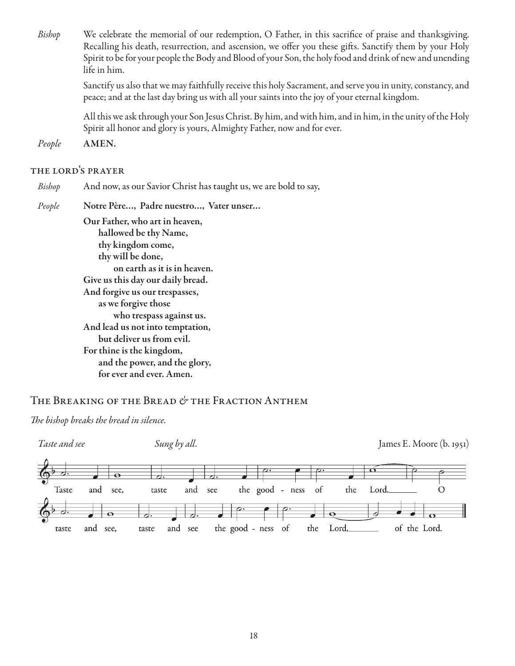*Bishop* We celebrate the memorial of our redemption, O Father, in this sacrifice of praise and thanksgiving. Recalling his death, resurrection, and ascension, we offer you these gifts. Sanctify them by your Holy Spirit to be for your people the Body and Blood of your Son, the holy food and drink of new and unending life in him.

> Sanctify us also that we may faithfully receive this holy Sacrament, and serve you in unity, constancy, and peace; and at the last day bring us with all your saints into the joy of your eternal kingdom.

> All this we ask through your Son Jesus Christ. By him, and with him, and in him, in the unity of the Holy Spirit all honor and glory is yours, Almighty Father, now and for ever.

*People* AMEN.

#### the lord's prayer

*Bishop* And now, as our Savior Christ has taught us, we are bold to say, *People* Notre Père…, Padre nuestro…, Vater unser… Our Father, who art in heaven, hallowed be thy Name, thy kingdom come, thy will be done, on earth as it is in heaven. Give us this day our daily bread. And forgive us our trespasses, as we forgive those who trespass against us. And lead us not into temptation, but deliver us from evil. For thine is the kingdom, and the power, and the glory, for ever and ever. Amen.

# The Breaking of the Bread *&* the Fraction Anthem

#### *The bishop breaks the bread in silence.*

![](_page_17_Figure_8.jpeg)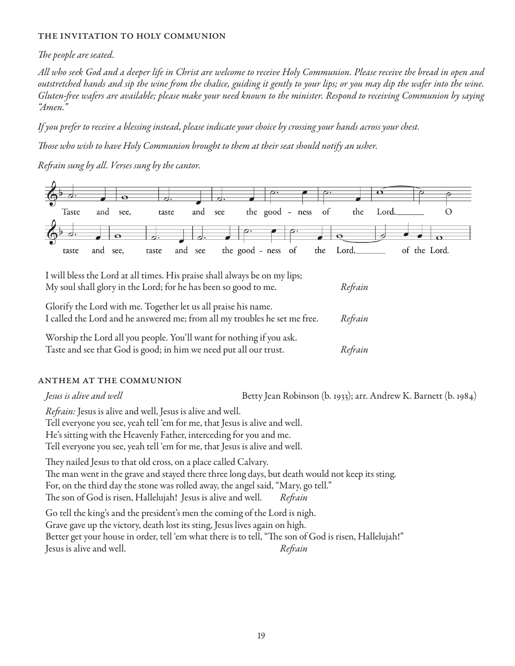#### the invitation to holy communion

## *The people are seated.*

*All who seek God and a deeper life in Christ are welcome to receive Holy Communion. Please receive the bread in open and outstretched hands and sip the wine from the chalice, guiding it gently to your lips; or you may dip the wafer into the wine. Gluten-free wafers are available; please make your need known to the minister. Respond to receiving Communion by saying "Amen."* 

*If you prefer to receive a blessing instead, please indicate your choice by crossing your hands across your chest.* 

*Those who wish to have Holy Communion brought to them at their seat should notify an usher.* 

*Refrain sung by all. Verses sung by the cantor.* 

![](_page_18_Figure_6.jpeg)

Taste and see that God is good; in him we need put all our trust. *Refrain*

#### anthem at the communion

*Jesus is alive and well* Betty Jean Robinson (b. 1933); arr. Andrew K. Barnett (b. 1984)

*Refrain:* Jesus is alive and well, Jesus is alive and well. Tell everyone you see, yeah tell 'em for me, that Jesus is alive and well.

He's sitting with the Heavenly Father, interceding for you and me.

Tell everyone you see, yeah tell 'em for me, that Jesus is alive and well.

They nailed Jesus to that old cross, on a place called Calvary. The man went in the grave and stayed there three long days, but death would not keep its sting. For, on the third day the stone was rolled away, the angel said, "Mary, go tell." The son of God is risen, Hallelujah! Jesus is alive and well. *Refrain*

Go tell the king's and the president's men the coming of the Lord is nigh. Grave gave up the victory, death lost its sting, Jesus lives again on high. Better get your house in order, tell 'em what there is to tell, "The son of God is risen, Hallelujah!" Jesus is alive and well. *Refrain*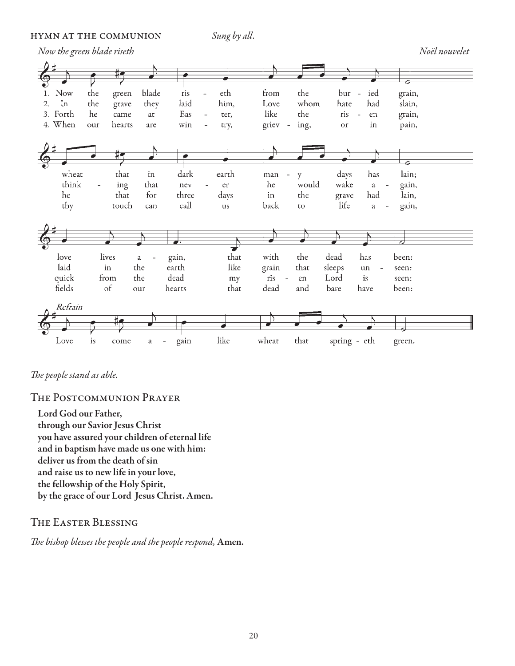hymn at the communion *Sung by all*.

*Now the green blade riseth Noël nouvelet*

![](_page_19_Figure_3.jpeg)

*The people stand as able.*

The Postcommunion Prayer

Lord God our Father, through our Savior Jesus Christ you have assured your children of eternal life and in baptism have made us one with him: deliver us from the death of sin and raise us to new life in your love, the fellowship of the Holy Spirit, by the grace of our Lord Jesus Christ. Amen.

# The Easter Blessing

*The bishop blesses the people and the people respond,* Amen.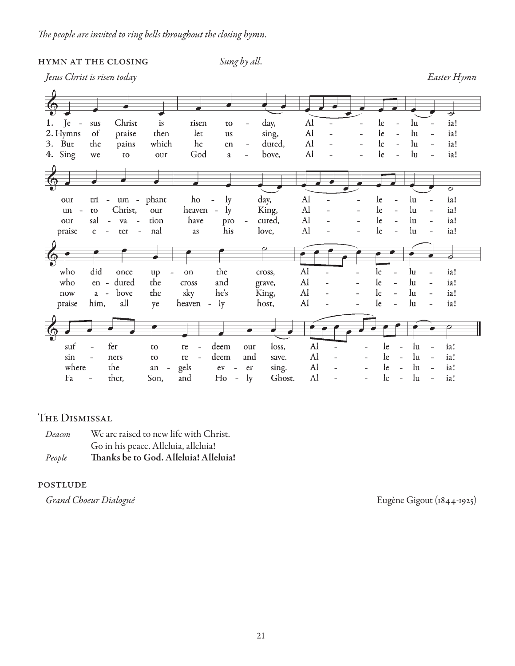# hymn at the closing *Sung by all*.

*Jesus Christ is risen today Easter Hymn*  $\mathcal{L}$ Christ day,  $\mathbf{A}$ l le  $\ln$ 1. Je  $\overline{a}$ sus is risen  $\rm{to}$ ia!  $\overline{a}$ 2. Hymns of praise then let sing,  $\mathbf{A}$ le  $\ln$ ia!  $\overline{u}$ s  $\overline{a}$  $\overline{a}$ But dured,  $\mathbf{A}$ l  $l$ e  $\ln$ 3. the pains which he en  $\overline{a}$  $\overline{a}$ ia!  $\overline{a}$ 4. Sing God  $\mathbf{A}$ le  $\ln$ we to our  $\overline{a}$ bove,  $\overline{a}$  $\overline{a}$  $\overline{a}$ ia!  $\rm{a}$ ब्र phant ho  $\mathbf{I}$ <sub>y</sub> day,  $\mathbf{A}$ le  $\ln$ ia! our tri  $\overline{a}$  $um$  $\bar{\phantom{a}}$  $1y$  $\mathbf{A}$ le  $\ln$  $un$ to Christ, our heaven  $\overline{a}$ King,  $\overline{a}$ ia!  $\overline{a}$  $\overline{a}$  $\mathbf{A}$ our sal  $\bar{\phantom{a}}$ va  $\sim$ tion have pro  $\overline{a}$ cured,  $\overline{a}$ le  $\overline{a}$ lu  $\overline{a}$ ia! praise  $ter$  $\overline{a}$ nal his love,  $\mathbf{A}$  $l$ e  $\ln$ ia!  $\mathbf{e}% _{t}\left( t\right)$  $\overline{\phantom{a}}$ as  $\overline{a}$  $\frac{1}{2}$ 0 ā ℴ  $\rm Al$ who did once  $up$ on the cross,  $l$ e lu ia! who dured the and Al  $l$ e  $\ln$  $en$ cross grave,  $\overline{a}$  $\overline{a}$ ia! bove the sky he's Al le  $\ln$ now  $\mathbf{a}$  $\frac{1}{2}$ King,  $\overline{a}$  $\frac{1}{2}$ ia! all  $\mathbf{I}$ Al  $l$ e lu praise him, ye heaven  $\bar{\phantom{a}}$ host,  $\overline{a}$  $\overline{a}$ ia!  $\bullet$  $\overline{\rho}$ ● suf fer re deem our loss,  $\mathbf{Al}$ le lu ia! to  $\overline{a}$ sin ners deem and save. Al  $\rm le$  $\ln$ ia! l, to re  $\frac{1}{2}$  $\overline{a}$  $\overline{a}$  $\overline{a}$ where the gels  $\mathbf{A}$ l le  $\ln$ an  $\overline{a}$  ${\rm ev}$  $\bar{\phantom{a}}$  $er$ sing.  $\overline{a}$  $\overline{a}$  $\overline{a}$ ia!  $\overline{a}$  $\mathcal{L}_{\mathcal{A}}$  $\mathbf{A}$ l le  $\ln$ Fa ther, Son, and  $H<sub>o</sub>$ ly Ghost.  $\overline{a}$  $\overline{a}$  $\overline{a}$ ia!

## The Dismissal

*Deacon* We are raised to new life with Christ. Go in his peace. Alleluia, alleluia!  *People* Thanks be to God. Alleluia! Alleluia!

#### **POSTLUDE**

*Grand Choeur Dialogué* **Eugène Gigout (1844-1925)**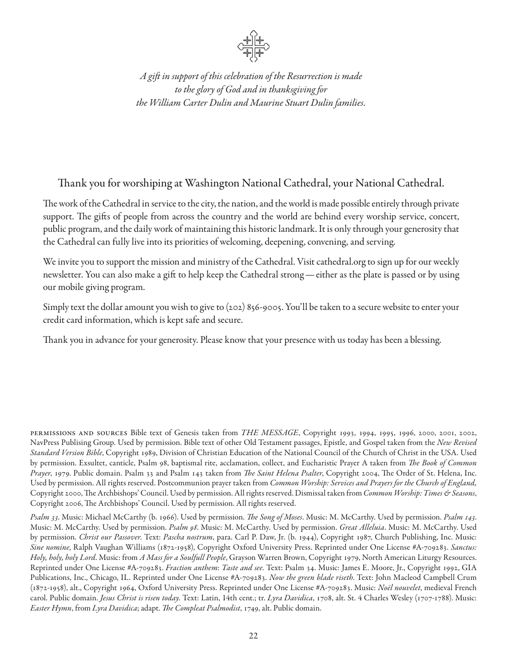![](_page_21_Picture_0.jpeg)

*A gift in support of this celebration of the Resurrection is made to the glory of God and in thanksgiving for the William Carter Dulin and Maurine Stuart Dulin families.*

# Thank you for worshiping at Washington National Cathedral, your National Cathedral.

The work of the Cathedral in service to the city, the nation, and the world is made possible entirely through private support. The gifts of people from across the country and the world are behind every worship service, concert, public program, and the daily work of maintaining this historic landmark. It is only through your generosity that the Cathedral can fully live into its priorities of welcoming, deepening, convening, and serving.

We invite you to support the mission and ministry of the Cathedral. Visit cathedral.org to sign up for our weekly newsletter. You can also make a gift to help keep the Cathedral strong—either as the plate is passed or by using our mobile giving program.

Simply text the dollar amount you wish to give to (202) 856-9005. You'll be taken to a secure website to enter your credit card information, which is kept safe and secure.

Thank you in advance for your generosity. Please know that your presence with us today has been a blessing.

permissions and sources Bible text of Genesis taken from *THE MESSAGE*, Copyright 1993, 1994, 1995, 1996, 2000, 2001, 2002, NavPress Publising Group. Used by permission. Bible text of other Old Testament passages, Epistle, and Gospel taken from the *New Revised Standard Version Bible*, Copyright 1989, Division of Christian Education of the National Council of the Church of Christ in the USA. Used by permission. Exsultet, canticle, Psalm 98, baptismal rite, acclamation, collect, and Eucharistic Prayer A taken from *The Book of Common Prayer*, 1979. Public domain. Psalm 33 and Psalm 143 taken from *The Saint Helena Psalter*, Copyright 2004, The Order of St. Helena, Inc. Used by permission. All rights reserved. Postcommunion prayer taken from *Common Worship: Services and Prayers for the Church of England,*  Copyright 2000, The Archbishops' Council. Used by permission. All rights reserved. Dismissal taken from *Common Worship: Times & Seasons*, Copyright 2006, The Archbishops' Council. Used by permission. All rights reserved.

*Psalm 33*. Music: Michael McCarthy (b. 1966). Used by permission. *The Song of Moses*. Music: M. McCarthy. Used by permission. *Psalm 143*. Music: M. McCarthy. Used by permission. *Psalm 98*. Music: M. McCarthy. Used by permission. *Great Alleluia*. Music: M. McCarthy. Used by permission. *Christ our Passover*. Text: *Pascha nostrum*, para. Carl P. Daw, Jr. (b. 1944), Copyright 1987, Church Publishing, Inc. Music: *Sine nomine*, Ralph Vaughan Williams (1872-1958), Copyright Oxford University Press. Reprinted under One License #A-709283. *Sanctus: Holy, holy, holy Lord*. Music: from *A Mass for a Soulfull People*, Grayson Warren Brown, Copyright 1979, North American Liturgy Resources. Reprinted under One License #A-709283. *Fraction anthem*: *Taste and see*. Text: Psalm 34. Music: James E. Moore, Jr., Copyright 1992, GIA Publications, Inc., Chicago, IL. Reprinted under One License #A-709283. *Now the green blade riseth*. Text: John Macleod Campbell Crum (1872-1958), alt., Copyright 1964, Oxford University Press. Reprinted under One License #A-709283. Music: *Noël nouvelet*, medieval French carol. Public domain. *Jesus Christ is risen today*. Text: Latin, 14th cent.; tr. *Lyra Davidica*, 1708, alt. St. 4 Charles Wesley (1707-1788). Music: *Easter Hymn*, from *Lyra Davidica*; adapt. *The Compleat Psalmodist*, 1749, alt. Public domain.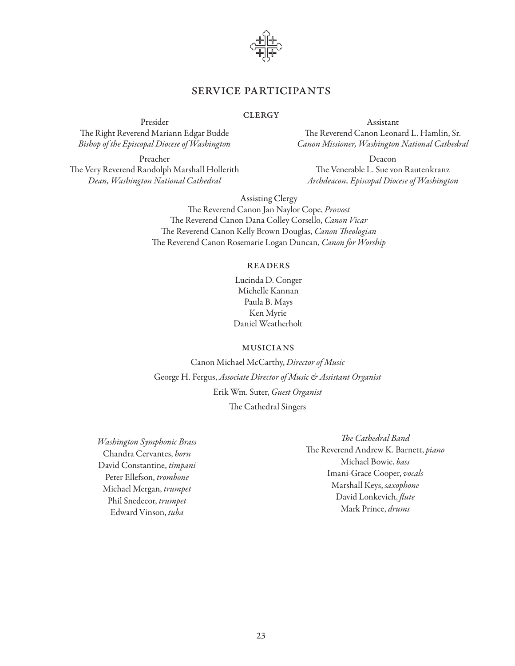![](_page_22_Picture_0.jpeg)

#### service participants

#### **CLERGY**

Presider The Right Reverend Mariann Edgar Budde *Bishop of the Episcopal Diocese of Washington* 

Preacher The Very Reverend Randolph Marshall Hollerith *Dean, Washington National Cathedral* 

Assistant

The Reverend Canon Leonard L. Hamlin, Sr. *Canon Missioner, Washington National Cathedral*

Deacon The Venerable L. Sue von Rautenkranz *Archdeacon, Episcopal Diocese of Washington*

Assisting Clergy

The Reverend Canon Jan Naylor Cope, *Provost* The Reverend Canon Dana Colley Corsello, *Canon Vicar* The Reverend Canon Kelly Brown Douglas, *Canon Theologian* The Reverend Canon Rosemarie Logan Duncan, *Canon for Worship*

#### **READERS**

Lucinda D. Conger Michelle Kannan Paula B. Mays Ken Myrie Daniel Weatherholt

#### musicians

Canon Michael McCarthy, *Director of Music* George H. Fergus, *Associate Director of Music & Assistant Organist* Erik Wm. Suter, *Guest Organist*  The Cathedral Singers

*Washington Symphonic Brass* Chandra Cervantes, *horn*  David Constantine, *timpani*  Peter Ellefson, *trombone*  Michael Mergan, *trumpet* Phil Snedecor, *trumpet* Edward Vinson, *tuba*

*The Cathedral Band* The Reverend Andrew K. Barnett, *piano* Michael Bowie, *bass* Imani-Grace Cooper, *vocals* Marshall Keys, *saxophone* David Lonkevich, *flute*  Mark Prince, *drums*